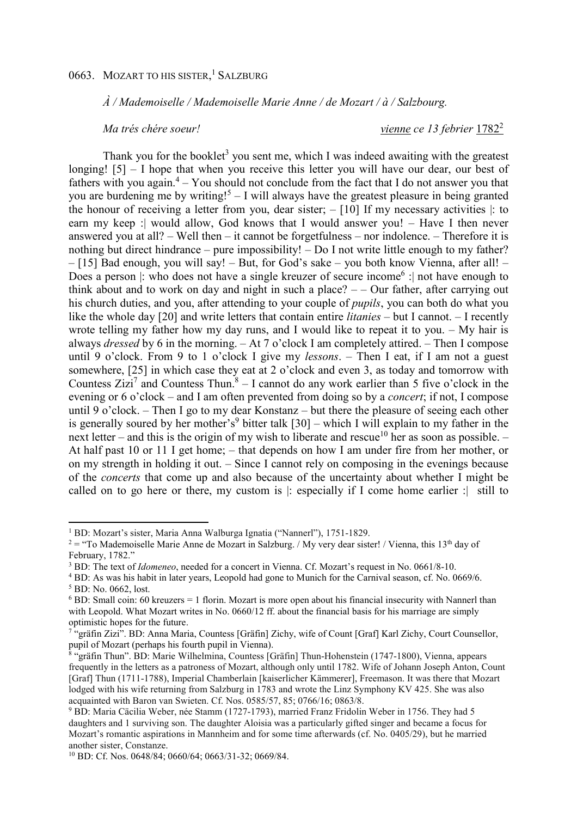*À / Mademoiselle / Mademoiselle Marie Anne / de Mozart / à / Salzbourg.* 

*Ma très chère soeur!* vienne ce 13 febrier 1782<sup>2</sup>

Thank you for the booklet<sup>3</sup> you sent me, which I was indeed awaiting with the greatest longing! [5] – I hope that when you receive this letter you will have our dear, our best of fathers with you again. $4 -$  You should not conclude from the fact that I do not answer you that you are burdening me by writing!<sup>5</sup> - I will always have the greatest pleasure in being granted the honour of receiving a letter from you, dear sister; – [10] If my necessary activities |: to earn my keep :| would allow, God knows that I would answer you! – Have I then never answered you at all? – Well then – it cannot be forgetfulness – nor indolence. – Therefore it is nothing but direct hindrance – pure impossibility! – Do I not write little enough to my father? – [15] Bad enough, you will say! – But, for God's sake – you both know Vienna, after all! – Does a person  $|$ : who does not have a single kreuzer of secure income<sup>6</sup> : not have enough to think about and to work on day and night in such a place?  $-$  - Our father, after carrying out his church duties, and you, after attending to your couple of *pupils*, you can both do what you like the whole day [20] and write letters that contain entire *litanies* – but I cannot. – I recently wrote telling my father how my day runs, and I would like to repeat it to you.  $-$  My hair is always *dressed* by 6 in the morning. – At 7 o'clock I am completely attired. – Then I compose until 9 o'clock. From 9 to 1 o'clock I give my *lessons*. – Then I eat, if I am not a guest somewhere, [25] in which case they eat at 2 o'clock and even 3, as today and tomorrow with Countess Zizi<sup>7</sup> and Countess Thun.<sup>8</sup> – I cannot do any work earlier than 5 five o'clock in the evening or 6 o'clock – and I am often prevented from doing so by a *concert*; if not, I compose until 9 o'clock. – Then I go to my dear Konstanz – but there the pleasure of seeing each other is generally soured by her mother's<sup>9</sup> bitter talk  $[30]$  – which I will explain to my father in the next letter – and this is the origin of my wish to liberate and rescue<sup>10</sup> her as soon as possible. – At half past 10 or 11 I get home; – that depends on how I am under fire from her mother, or on my strength in holding it out. – Since I cannot rely on composing in the evenings because of the *concerts* that come up and also because of the uncertainty about whether I might be called on to go here or there, my custom is |: especially if I come home earlier :| still to

l

<sup>&</sup>lt;sup>1</sup> BD: Mozart's sister, Maria Anna Walburga Ignatia ("Nannerl"), 1751-1829.

<sup>&</sup>lt;sup>2</sup> = "To Mademoiselle Marie Anne de Mozart in Salzburg. / My very dear sister! / Vienna, this 13<sup>th</sup> day of February, 1782."

<sup>3</sup> BD: The text of *Idomeneo*, needed for a concert in Vienna. Cf. Mozart's request in No. 0661/8-10.

<sup>&</sup>lt;sup>4</sup> BD: As was his habit in later years, Leopold had gone to Munich for the Carnival season, cf. No. 0669/6. 5 BD: No. 0662, lost.

 $6$  BD: Small coin: 60 kreuzers = 1 florin. Mozart is more open about his financial insecurity with Nannerl than with Leopold. What Mozart writes in No. 0660/12 ff. about the financial basis for his marriage are simply optimistic hopes for the future.

<sup>7</sup> "gräfin Zizi". BD: Anna Maria, Countess [Gräfin] Zichy, wife of Count [Graf] Karl Zichy, Court Counsellor, pupil of Mozart (perhaps his fourth pupil in Vienna).

<sup>8</sup> "gräfin Thun". BD: Marie Wilhelmina, Countess [Gräfin] Thun-Hohenstein (1747-1800), Vienna, appears frequently in the letters as a patroness of Mozart, although only until 1782. Wife of Johann Joseph Anton, Count [Graf] Thun (1711-1788), Imperial Chamberlain [kaiserlicher Kämmerer], Freemason. It was there that Mozart lodged with his wife returning from Salzburg in 1783 and wrote the Linz Symphony KV 425. She was also acquainted with Baron van Swieten. Cf. Nos. 0585/57, 85; 0766/16; 0863/8.

<sup>9</sup> BD: Maria Cäcilia Weber, née Stamm (1727-1793), married Franz Fridolin Weber in 1756. They had 5 daughters and 1 surviving son. The daughter Aloisia was a particularly gifted singer and became a focus for Mozart's romantic aspirations in Mannheim and for some time afterwards (cf. No. 0405/29), but he married another sister, Constanze.

<sup>10</sup> BD: Cf. Nos. 0648/84; 0660/64; 0663/31-32; 0669/84.